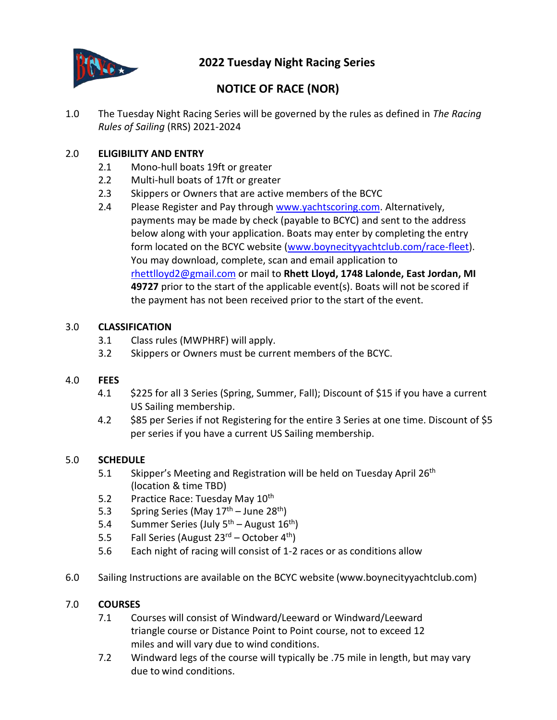

## **2022 Tuesday Night Racing Series**

# **NOTICE OF RACE (NOR)**

1.0 The Tuesday Night Racing Series will be governed by the rules as defined in *The Racing Rules of Sailing* (RRS) 2021-2024

## 2.0 **ELIGIBILITY AND ENTRY**

- 2.1 Mono-hull boats 19ft or greater
- 2.2 Multi-hull boats of 17ft or greater
- 2.3 Skippers or Owners that are active members of the BCYC
- 2.4 Please Register and Pay through [www.yachtscoring.com.](http://www.yachtscoring.com/) Alternatively, payments may be made by check (payable to BCYC) and sent to the address below along with your application. Boats may enter by completing the entry form located on the BCYC website [\(www.boynecityyachtclub.com/race-fleet\)](http://www.boynecityyachtclub.com/race-fleet). You may download, complete, scan and email application to [rhettlloyd2@gmail.com](mailto:rhettlloyd2@gmail.com) or mail to **Rhett Lloyd, 1748 Lalonde, East Jordan, MI 49727** prior to the start of the applicable event(s). Boats will not be scored if the payment has not been received prior to the start of the event.

## 3.0 **CLASSIFICATION**

- 3.1 Class rules (MWPHRF) will apply.
- 3.2 Skippers or Owners must be current members of the BCYC.

## 4.0 **FEES**

- 4.1 \$225 for all 3 Series (Spring, Summer, Fall); Discount of \$15 if you have a current US Sailing membership.
- 4.2 \$85 per Series if not Registering for the entire 3 Series at one time. Discount of \$5 per series if you have a current US Sailing membership.

## 5.0 **SCHEDULE**

- 5.1 Skipper's Meeting and Registration will be held on Tuesday April 26<sup>th</sup> (location & time TBD)
- 5.2 Practice Race: Tuesday May 10<sup>th</sup>
- 5.3 Spring Series (May 17<sup>th</sup> June 28<sup>th</sup>)
- 5.4 Summer Series (July 5<sup>th</sup> August 16<sup>th</sup>)
- 5.5 Fall Series (August 23<sup>rd</sup> October 4<sup>th</sup>)
- 5.6 Each night of racing will consist of 1-2 races or as conditions allow
- 6.0 Sailing Instructions are available on the BCYC website (www.boynecityyachtclub.com)

## 7.0 **COURSES**

- 7.1 Courses will consist of Windward/Leeward or Windward/Leeward triangle course or Distance Point to Point course, not to exceed 12 miles and will vary due to wind conditions.
- 7.2 Windward legs of the course will typically be .75 mile in length, but may vary due to wind conditions.